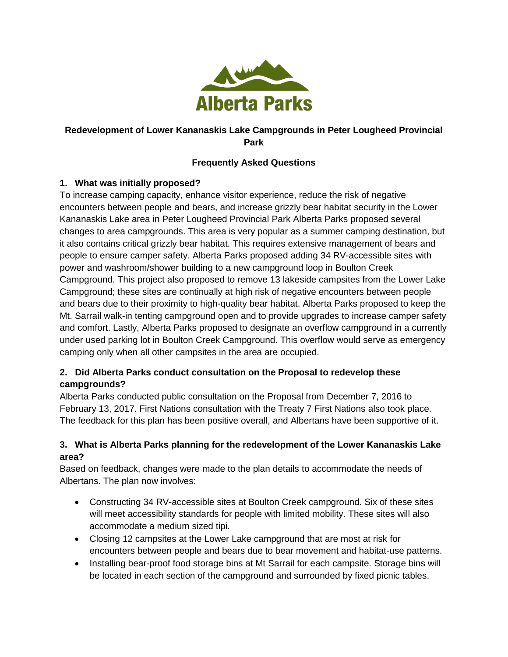

## **Redevelopment of Lower Kananaskis Lake Campgrounds in Peter Lougheed Provincial Park**

## **Frequently Asked Questions**

#### **1. What was initially proposed?**

To increase camping capacity, enhance visitor experience, reduce the risk of negative encounters between people and bears, and increase grizzly bear habitat security in the Lower Kananaskis Lake area in Peter Lougheed Provincial Park Alberta Parks proposed several changes to area campgrounds. This area is very popular as a summer camping destination, but it also contains critical grizzly bear habitat. This requires extensive management of bears and people to ensure camper safety. Alberta Parks proposed adding 34 RV-accessible sites with power and washroom/shower building to a new campground loop in Boulton Creek Campground. This project also proposed to remove 13 lakeside campsites from the Lower Lake Campground; these sites are continually at high risk of negative encounters between people and bears due to their proximity to high-quality bear habitat. Alberta Parks proposed to keep the Mt. Sarrail walk-in tenting campground open and to provide upgrades to increase camper safety and comfort. Lastly, Alberta Parks proposed to designate an overflow campground in a currently under used parking lot in Boulton Creek Campground. This overflow would serve as emergency camping only when all other campsites in the area are occupied.

## **2. Did Alberta Parks conduct consultation on the Proposal to redevelop these campgrounds?**

Alberta Parks conducted public consultation on the Proposal from December 7, 2016 to February 13, 2017. First Nations consultation with the Treaty 7 First Nations also took place. The feedback for this plan has been positive overall, and Albertans have been supportive of it.

#### **3. What is Alberta Parks planning for the redevelopment of the Lower Kananaskis Lake area?**

Based on feedback, changes were made to the plan details to accommodate the needs of Albertans. The plan now involves:

- Constructing 34 RV-accessible sites at Boulton Creek campground. Six of these sites will meet accessibility standards for people with limited mobility. These sites will also accommodate a medium sized tipi.
- Closing 12 campsites at the Lower Lake campground that are most at risk for encounters between people and bears due to bear movement and habitat-use patterns.
- Installing bear-proof food storage bins at Mt Sarrail for each campsite. Storage bins will be located in each section of the campground and surrounded by fixed picnic tables.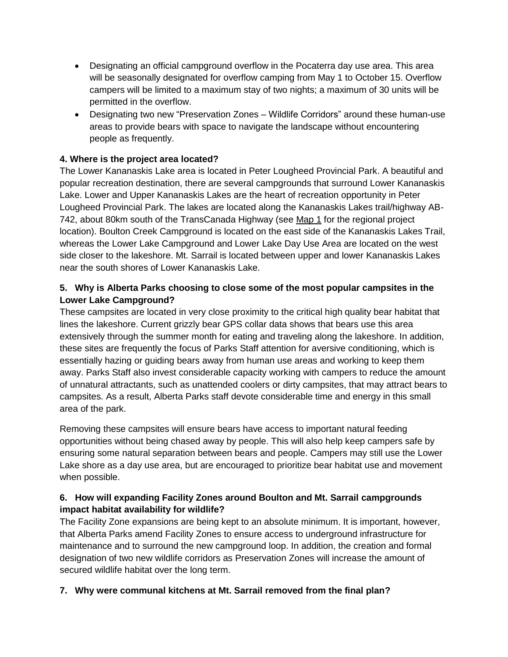- Designating an official campground overflow in the Pocaterra day use area. This area will be seasonally designated for overflow camping from May 1 to October 15. Overflow campers will be limited to a maximum stay of two nights; a maximum of 30 units will be permitted in the overflow.
- Designating two new "Preservation Zones Wildlife Corridors" around these human-use areas to provide bears with space to navigate the landscape without encountering people as frequently.

## **4. Where is the project area located?**

The Lower Kananaskis Lake area is located in Peter Lougheed Provincial Park. A beautiful and popular recreation destination, there are several campgrounds that surround Lower Kananaskis Lake. Lower and Upper Kananaskis Lakes are the heart of recreation opportunity in Peter Lougheed Provincial Park. The lakes are located along the Kananaskis Lakes trail/highway AB-742, about 80km south of the TransCanada Highway (see Map 1 for the regional project location). Boulton Creek Campground is located on the east side of the Kananaskis Lakes Trail, whereas the Lower Lake Campground and Lower Lake Day Use Area are located on the west side closer to the lakeshore. Mt. Sarrail is located between upper and lower Kananaskis Lakes near the south shores of Lower Kananaskis Lake.

## **5. Why is Alberta Parks choosing to close some of the most popular campsites in the Lower Lake Campground?**

These campsites are located in very close proximity to the critical high quality bear habitat that lines the lakeshore. Current grizzly bear GPS collar data shows that bears use this area extensively through the summer month for eating and traveling along the lakeshore. In addition, these sites are frequently the focus of Parks Staff attention for aversive conditioning, which is essentially hazing or guiding bears away from human use areas and working to keep them away. Parks Staff also invest considerable capacity working with campers to reduce the amount of unnatural attractants, such as unattended coolers or dirty campsites, that may attract bears to campsites. As a result, Alberta Parks staff devote considerable time and energy in this small area of the park.

Removing these campsites will ensure bears have access to important natural feeding opportunities without being chased away by people. This will also help keep campers safe by ensuring some natural separation between bears and people. Campers may still use the Lower Lake shore as a day use area, but are encouraged to prioritize bear habitat use and movement when possible.

#### **6. How will expanding Facility Zones around Boulton and Mt. Sarrail campgrounds impact habitat availability for wildlife?**

The Facility Zone expansions are being kept to an absolute minimum. It is important, however, that Alberta Parks amend Facility Zones to ensure access to underground infrastructure for maintenance and to surround the new campground loop. In addition, the creation and formal designation of two new wildlife corridors as Preservation Zones will increase the amount of secured wildlife habitat over the long term.

#### **7. Why were communal kitchens at Mt. Sarrail removed from the final plan?**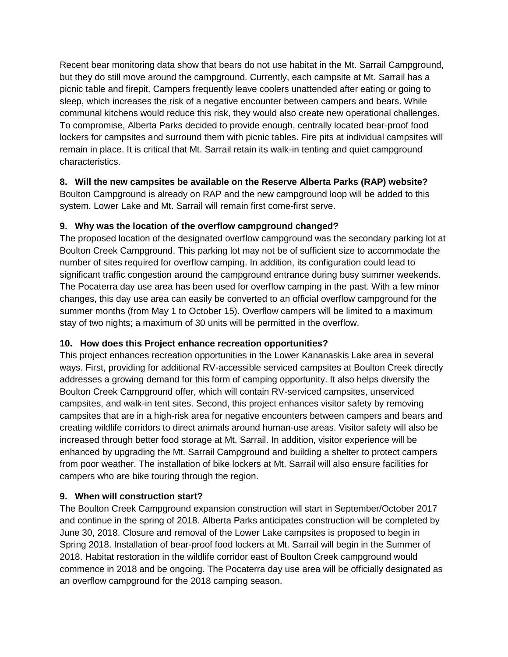Recent bear monitoring data show that bears do not use habitat in the Mt. Sarrail Campground, but they do still move around the campground. Currently, each campsite at Mt. Sarrail has a picnic table and firepit. Campers frequently leave coolers unattended after eating or going to sleep, which increases the risk of a negative encounter between campers and bears. While communal kitchens would reduce this risk, they would also create new operational challenges. To compromise, Alberta Parks decided to provide enough, centrally located bear-proof food lockers for campsites and surround them with picnic tables. Fire pits at individual campsites will remain in place. It is critical that Mt. Sarrail retain its walk-in tenting and quiet campground characteristics.

## **8. Will the new campsites be available on the Reserve Alberta Parks (RAP) website?**

Boulton Campground is already on RAP and the new campground loop will be added to this system. Lower Lake and Mt. Sarrail will remain first come-first serve.

# **9. Why was the location of the overflow campground changed?**

The proposed location of the designated overflow campground was the secondary parking lot at Boulton Creek Campground. This parking lot may not be of sufficient size to accommodate the number of sites required for overflow camping. In addition, its configuration could lead to significant traffic congestion around the campground entrance during busy summer weekends. The Pocaterra day use area has been used for overflow camping in the past. With a few minor changes, this day use area can easily be converted to an official overflow campground for the summer months (from May 1 to October 15). Overflow campers will be limited to a maximum stay of two nights; a maximum of 30 units will be permitted in the overflow.

# **10. How does this Project enhance recreation opportunities?**

This project enhances recreation opportunities in the Lower Kananaskis Lake area in several ways. First, providing for additional RV-accessible serviced campsites at Boulton Creek directly addresses a growing demand for this form of camping opportunity. It also helps diversify the Boulton Creek Campground offer, which will contain RV-serviced campsites, unserviced campsites, and walk-in tent sites. Second, this project enhances visitor safety by removing campsites that are in a high-risk area for negative encounters between campers and bears and creating wildlife corridors to direct animals around human-use areas. Visitor safety will also be increased through better food storage at Mt. Sarrail. In addition, visitor experience will be enhanced by upgrading the Mt. Sarrail Campground and building a shelter to protect campers from poor weather. The installation of bike lockers at Mt. Sarrail will also ensure facilities for campers who are bike touring through the region.

# **9. When will construction start?**

The Boulton Creek Campground expansion construction will start in September/October 2017 and continue in the spring of 2018. Alberta Parks anticipates construction will be completed by June 30, 2018. Closure and removal of the Lower Lake campsites is proposed to begin in Spring 2018. Installation of bear-proof food lockers at Mt. Sarrail will begin in the Summer of 2018. Habitat restoration in the wildlife corridor east of Boulton Creek campground would commence in 2018 and be ongoing. The Pocaterra day use area will be officially designated as an overflow campground for the 2018 camping season.